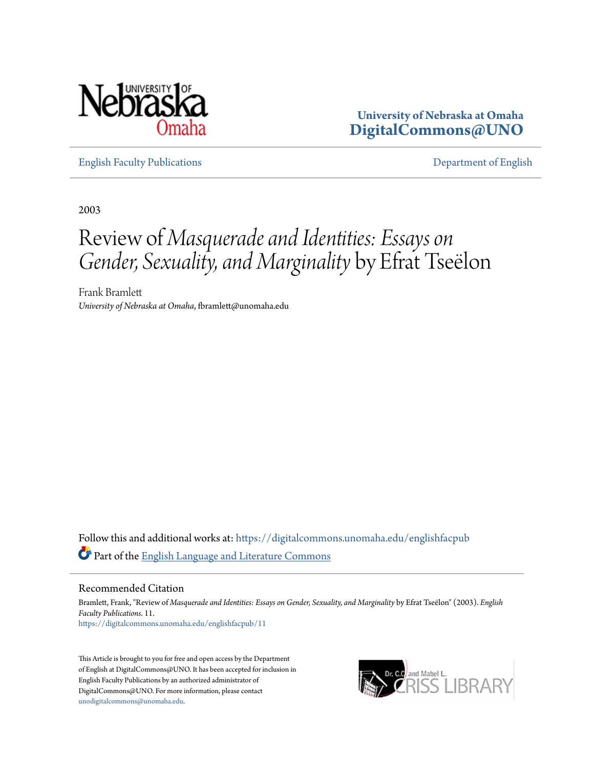

**University of Nebraska at Omaha [DigitalCommons@UNO](https://digitalcommons.unomaha.edu?utm_source=digitalcommons.unomaha.edu%2Fenglishfacpub%2F11&utm_medium=PDF&utm_campaign=PDFCoverPages)**

[English Faculty Publications](https://digitalcommons.unomaha.edu/englishfacpub?utm_source=digitalcommons.unomaha.edu%2Fenglishfacpub%2F11&utm_medium=PDF&utm_campaign=PDFCoverPages) [Department of English](https://digitalcommons.unomaha.edu/english?utm_source=digitalcommons.unomaha.edu%2Fenglishfacpub%2F11&utm_medium=PDF&utm_campaign=PDFCoverPages)

2003

## Review of *Masquerade and Identities: Essays on Gender, Sexuality, and Marginality* by Efrat Tseëlon

Frank Bramlett *University of Nebraska at Omaha*, fbramlett@unomaha.edu

Follow this and additional works at: [https://digitalcommons.unomaha.edu/englishfacpub](https://digitalcommons.unomaha.edu/englishfacpub?utm_source=digitalcommons.unomaha.edu%2Fenglishfacpub%2F11&utm_medium=PDF&utm_campaign=PDFCoverPages) Part of the [English Language and Literature Commons](http://network.bepress.com/hgg/discipline/455?utm_source=digitalcommons.unomaha.edu%2Fenglishfacpub%2F11&utm_medium=PDF&utm_campaign=PDFCoverPages)

Recommended Citation

Bramlett, Frank, "Review of *Masquerade and Identities: Essays on Gender, Sexuality, and Marginality* by Efrat Tseëlon" (2003). *English Faculty Publications*. 11. [https://digitalcommons.unomaha.edu/englishfacpub/11](https://digitalcommons.unomaha.edu/englishfacpub/11?utm_source=digitalcommons.unomaha.edu%2Fenglishfacpub%2F11&utm_medium=PDF&utm_campaign=PDFCoverPages)

This Article is brought to you for free and open access by the Department of English at DigitalCommons@UNO. It has been accepted for inclusion in English Faculty Publications by an authorized administrator of DigitalCommons@UNO. For more information, please contact [unodigitalcommons@unomaha.edu](mailto:unodigitalcommons@unomaha.edu).